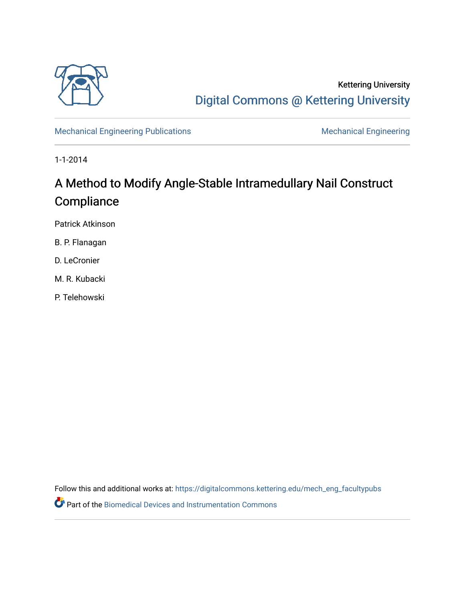

Kettering University [Digital Commons @ Kettering University](https://digitalcommons.kettering.edu/) 

[Mechanical Engineering Publications](https://digitalcommons.kettering.edu/mech_eng_facultypubs) [Mechanical Engineering](https://digitalcommons.kettering.edu/mech_eng) Mechanical Engineering

1-1-2014

# A Method to Modify Angle-Stable Intramedullary Nail Construct **Compliance**

Patrick Atkinson

B. P. Flanagan

D. LeCronier

M. R. Kubacki

P. Telehowski

Follow this and additional works at: [https://digitalcommons.kettering.edu/mech\\_eng\\_facultypubs](https://digitalcommons.kettering.edu/mech_eng_facultypubs?utm_source=digitalcommons.kettering.edu%2Fmech_eng_facultypubs%2F56&utm_medium=PDF&utm_campaign=PDFCoverPages)

Part of the [Biomedical Devices and Instrumentation Commons](http://network.bepress.com/hgg/discipline/235?utm_source=digitalcommons.kettering.edu%2Fmech_eng_facultypubs%2F56&utm_medium=PDF&utm_campaign=PDFCoverPages)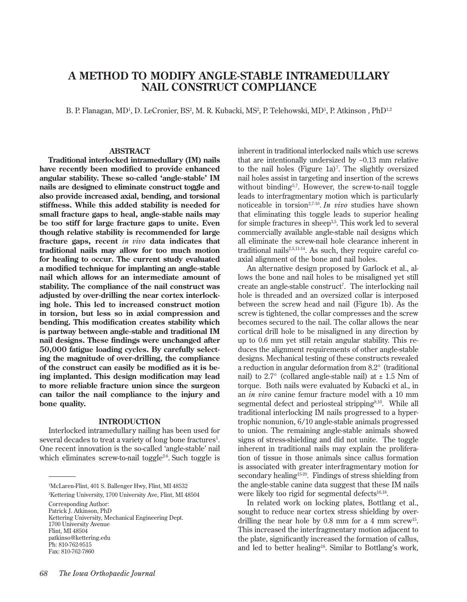# **A METHOD TO MODIFY ANGLE-STABLE INTRAMEDULLARY NAIL CONSTRUCT COMPLIANCE**

B. P. Flanagan, MD<sup>1</sup>, D. LeCronier, BS<sup>2</sup>, M. R. Kubacki, MS<sup>2</sup>, P. Telehowski, MD<sup>1</sup>, P. Atkinson , PhD<sup>1,2</sup>

# **ABSTRACT**

**Traditional interlocked intramedullary (IM) nails have recently been modified to provide enhanced angular stability. These so-called 'angle-stable' IM nails are designed to eliminate construct toggle and also provide increased axial, bending, and torsional stiffness. While this added stability is needed for small fracture gaps to heal, angle-stable nails may be too stiff for large fracture gaps to unite. Even though relative stability is recommended for large fracture gaps, recent** *in vivo* **data indicates that traditional nails may allow for too much motion for healing to occur. The current study evaluated a modified technique for implanting an angle-stable nail which allows for an intermediate amount of stability. The compliance of the nail construct was adjusted by over-drilling the near cortex interlocking hole. This led to increased construct motion in torsion, but less so in axial compression and bending. This modification creates stability which is partway between angle-stable and traditional IM nail designs. These findings were unchanged after 50,000 fatigue loading cycles. By carefully selecting the magnitude of over-drilling, the compliance of the construct can easily be modified as it is being implanted. This design modification may lead to more reliable fracture union since the surgeon can tailor the nail compliance to the injury and bone quality.**

#### **INTRODUCTION**

Interlocked intramedullary nailing has been used for several decades to treat a variety of long bone fractures<sup>1</sup>. One recent innovation is the so-called 'angle-stable' nail which eliminates screw-to-nail toggle<sup>26</sup>. Such toggle is

1 McLaren-Flint, 401 S. Ballenger Hwy, Flint, MI 48532

2 Kettering University, 1700 University Ave, Flint, MI 48504

Corresponding Author:

Patrick J. Atkinson, PhD Kettering University, Mechanical Engineering Dept. 1700 University Avenue Flint, MI 48504 patkinso@kettering.edu Ph: 810-762-9515 Fax: 810-762-7860

inherent in traditional interlocked nails which use screws that are intentionally undersized by  $\sim 0.13$  mm relative to the nail holes (Figure  $1a$ )<sup>7</sup>. The slightly oversized nail holes assist in targeting and insertion of the screws without binding<sup>5,7</sup>. However, the screw-to-nail toggle leads to interfragmentary motion which is particularly noticeable in torsion2,7-10. *In vivo* studies have shown that eliminating this toggle leads to superior healing for simple fractures in sheep<sup>3,5</sup>. This work led to several commercially available angle-stable nail designs which all eliminate the screw-nail hole clearance inherent in traditional nails $2,5,11-14$ . As such, they require careful coaxial alignment of the bone and nail holes.

An alternative design proposed by Garlock et al., allows the bone and nail holes to be misaligned yet still create an angle-stable construct<sup>7</sup>. The interlocking nail hole is threaded and an oversized collar is interposed between the screw head and nail (Figure 1b). As the screw is tightened, the collar compresses and the screw becomes secured to the nail. The collar allows the near cortical drill hole to be misaligned in any direction by up to 0.6 mm yet still retain angular stability. This reduces the alignment requirements of other angle-stable designs. Mechanical testing of these constructs revealed a reduction in angular deformation from 8.2° (traditional nail) to 2.7° (collared angle-stable nail) at  $\pm$  1.5 Nm of torque. Both nails were evaluated by Kubacki et al., in an *in vivo* canine femur fracture model with a 10 mm segmental defect and periosteal stripping<sup>9,10</sup>. While all traditional interlocking IM nails progressed to a hypertrophic nonunion, 6/10 angle-stable animals progressed to union. The remaining angle-stable animals showed signs of stress-shielding and did not unite. The toggle inherent in traditional nails may explain the proliferation of tissue in those animals since callus formation is associated with greater interfragmentary motion for secondary healing<sup>15-20</sup>. Findings of stress shielding from the angle-stable canine data suggest that these IM nails were likely too rigid for segmental defects $16,18$ .

In related work on locking plates, Bottlang et al., sought to reduce near cortex stress shielding by overdrilling the near hole by  $0.8$  mm for a 4 mm screw<sup>15</sup>. This increased the interfragmentary motion adjacent to the plate, significantly increased the formation of callus, and led to better healing<sup>16</sup>. Similar to Bottlang's work,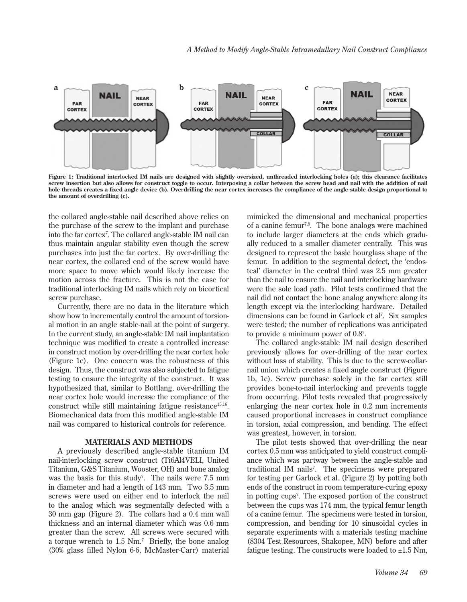

**Figure 1: Traditional interlocked IM nails are designed with slightly oversized, unthreaded interlocking holes (a); this clearance facilitates screw insertion but also allows for construct toggle to occur. Interposing a collar between the screw head and nail with the addition of nail hole threads creates a fixed angle device (b). Overdrilling the near cortex increases the compliance of the angle-stable design proportional to the amount of overdrilling (c).** 

the collared angle-stable nail described above relies on the purchase of the screw to the implant and purchase into the far cortex7 . The collared angle-stable IM nail can thus maintain angular stability even though the screw purchases into just the far cortex. By over-drilling the near cortex, the collared end of the screw would have more space to move which would likely increase the motion across the fracture. This is not the case for traditional interlocking IM nails which rely on bicortical screw purchase.

Currently, there are no data in the literature which show how to incrementally control the amount of torsional motion in an angle stable-nail at the point of surgery. In the current study, an angle-stable IM nail implantation technique was modified to create a controlled increase in construct motion by over-drilling the near cortex hole (Figure 1c). One concern was the robustness of this design. Thus, the construct was also subjected to fatigue testing to ensure the integrity of the construct. It was hypothesized that, similar to Bottlang, over-drilling the near cortex hole would increase the compliance of the construct while still maintaining fatigue resistance<sup>15,16</sup>. Biomechanical data from this modified angle-stable IM nail was compared to historical controls for reference.

## **MATERIALS AND METHODS**

A previously described angle-stable titanium IM nail-interlocking screw construct (Ti6Al4VELI, United Titanium, G&S Titanium, Wooster, OH) and bone analog was the basis for this study<sup>7</sup>. The nails were 7.5 mm in diameter and had a length of 143 mm. Two 3.5 mm screws were used on either end to interlock the nail to the analog which was segmentally defected with a 30 mm gap (Figure 2). The collars had a 0.4 mm wall thickness and an internal diameter which was 0.6 mm greater than the screw. All screws were secured with a torque wrench to 1.5 Nm.<sup>7</sup> Briefly, the bone analog (30% glass filled Nylon 6-6, McMaster-Carr) material

mimicked the dimensional and mechanical properties of a canine femur7,8. The bone analogs were machined to include larger diameters at the ends which gradually reduced to a smaller diameter centrally. This was designed to represent the basic hourglass shape of the femur. In addition to the segmental defect, the 'endosteal' diameter in the central third was 2.5 mm greater than the nail to ensure the nail and interlocking hardware were the sole load path. Pilot tests confirmed that the nail did not contact the bone analog anywhere along its length except via the interlocking hardware. Detailed dimensions can be found in Garlock et al<sup>7</sup>. Six samples were tested; the number of replications was anticipated to provide a minimum power of 0.87 .

The collared angle-stable IM nail design described previously allows for over-drilling of the near cortex without loss of stability. This is due to the screw-collarnail union which creates a fixed angle construct (Figure 1b, 1c). Screw purchase solely in the far cortex still provides bone-to-nail interlocking and prevents toggle from occurring. Pilot tests revealed that progressively enlarging the near cortex hole in 0.2 mm increments caused proportional increases in construct compliance in torsion, axial compression, and bending. The effect was greatest, however, in torsion.

The pilot tests showed that over-drilling the near cortex 0.5 mm was anticipated to yield construct compliance which was partway between the angle-stable and traditional IM nails<sup>7</sup>. The specimens were prepared for testing per Garlock et al. (Figure 2) by potting both ends of the construct in room temperature-curing epoxy in potting cups7 . The exposed portion of the construct between the cups was 174 mm, the typical femur length of a canine femur. The specimens were tested in torsion, compression, and bending for 10 sinusoidal cycles in separate experiments with a materials testing machine (8304 Test Resources, Shakopee, MN) before and after fatigue testing. The constructs were loaded to  $\pm 1.5$  Nm,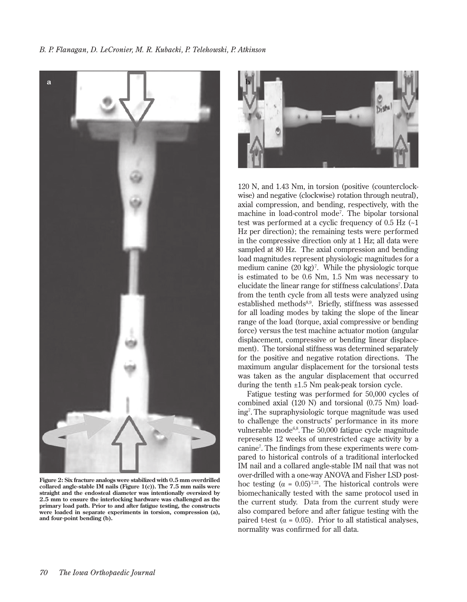*B. P. Flanagan, D. LeCronier, M. R. Kubacki, P. Telehowski, P. Atkinson*



**Figure 2: Six fracture analogs were stabilized with 0.5 mm overdrilled collared angle-stable IM nails (Figure 1(c)). The 7.5 mm nails were straight and the endosteal diameter was intentionally oversized by 2.5 mm to ensure the interlocking hardware was challenged as the primary load path. Prior to and after fatigue testing, the constructs were loaded in separate experiments in torsion, compression (a), and four-point bending (b).**



120 N, and 1.43 Nm, in torsion (positive (counterclockwise) and negative (clockwise) rotation through neutral), axial compression, and bending, respectively, with the machine in load-control mode7 . The bipolar torsional test was performed at a cyclic frequency of 0.5 Hz (~1 Hz per direction); the remaining tests were performed in the compressive direction only at 1 Hz; all data were sampled at 80 Hz. The axial compression and bending load magnitudes represent physiologic magnitudes for a medium canine  $(20 \text{ kg})^7$ . While the physiologic torque is estimated to be 0.6 Nm, 1.5 Nm was necessary to elucidate the linear range for stiffness calculations<sup>7</sup>. Data from the tenth cycle from all tests were analyzed using established methods<sup>8,9</sup>. Briefly, stiffness was assessed for all loading modes by taking the slope of the linear range of the load (torque, axial compressive or bending force) versus the test machine actuator motion (angular displacement, compressive or bending linear displacement). The torsional stiffness was determined separately for the positive and negative rotation directions. The maximum angular displacement for the torsional tests was taken as the angular displacement that occurred during the tenth  $\pm 1.5$  Nm peak-peak torsion cycle.

Fatigue testing was performed for 50,000 cycles of combined axial (120 N) and torsional (0.75 Nm) loading7 . The supraphysiologic torque magnitude was used to challenge the constructs' performance in its more vulnerable mode6,8. The 50,000 fatigue cycle magnitude represents 12 weeks of unrestricted cage activity by a canine7 . The findings from these experiments were compared to historical controls of a traditional interlocked IM nail and a collared angle-stable IM nail that was not over-drilled with a one-way ANOVA and Fisher LSD posthoc testing  $(\alpha = 0.05)^{7,21}$ . The historical controls were biomechanically tested with the same protocol used in the current study. Data from the current study were also compared before and after fatigue testing with the paired t-test ( $\alpha = 0.05$ ). Prior to all statistical analyses, normality was confirmed for all data.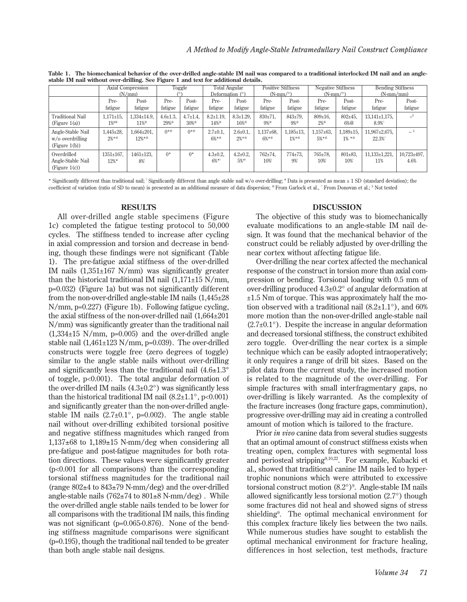|                                                           | <b>Axial Compression</b>       |                                         | Toggle                 |                                        | Total Angular                |                                   | <b>Positive Stiffness</b>            |                                      | <b>Negative Stiffness</b>            |                               | <b>Bending Stiffness</b>     |                            |
|-----------------------------------------------------------|--------------------------------|-----------------------------------------|------------------------|----------------------------------------|------------------------------|-----------------------------------|--------------------------------------|--------------------------------------|--------------------------------------|-------------------------------|------------------------------|----------------------------|
|                                                           | (N/mm)                         |                                         |                        |                                        | Deformation (°)              |                                   | $(N-mm/°)$                           |                                      | $(N-mm/°)$                           |                               | $(N-mm/mm)$                  |                            |
|                                                           | Pre-                           | Post-                                   | Pre-                   | Post-                                  | Pre-                         | Post-                             | Pre-                                 | Post-                                | Pre-                                 | Post-                         | Pre-                         | Post-                      |
|                                                           | fatigue                        | fatigue                                 | fatigue                | fatigue                                | fatigue                      | fatigue                           | fatigue                              | fatigue                              | fatigue                              | fatigue                       | fatigue                      | fatigue                    |
| <b>Traditional Nail</b><br>(Figure 1(a))                  | $1,171 \pm 15$ ,<br>$1\%^{*0}$ | $1,334\pm14.9$ ,<br>$11\%$ <sup>®</sup> | $4.6 \pm 1.3$ ,<br>29% | $4.7 \pm 1.4$ ,<br>$30\%$ <sup>®</sup> | $8.2 \pm 1.19$ ,<br>$14\%$ ® | $8.3 \pm 1.29$ .<br>$16%^{\circ}$ | $830 \pm 71$ ,<br>$9\%$ <sup>®</sup> | $843{\pm}79$ ,<br>$9\%$ <sup>®</sup> | $809 \pm 16$ ,<br>$2\%$ <sup>®</sup> | $802{\pm}45$ ,<br>$6\%$ @     | $13,141 \pm 1,175$ ,<br>8.9% | $\supset$                  |
| Angle-Stable Nail<br>$w$ /0 overdrilling<br>(Figure 1(b)) | $1,445\pm28,$<br>$2%^{*0}$     | $1.664 \pm 201.$<br>$12%^{*0}$          | $0^{*0}$               | $0^{*0}$                               | $2.7 \pm 0.1$ ,<br>$6\%*@$   | $2.6 \pm 0.1$ ,<br>$2%^{*@}$      | $1,137\pm 68$ ,<br>$6%^{*0}$         | $1,185 \pm 13$ ,<br>$1\% * @$        | $1,157\pm 63$ ,<br>$5%^{*0}$         | $1,189 \pm 15$ ,<br>$1\% * @$ | 11,967±2,675,<br>22.3%       | $-$ \$                     |
| Overdrilled<br>Angle-Stable Nail<br>(Figure 1(c))         | $1351 \pm 167$ .<br>$12\%*$    | 1461±123,<br>8%                         | $0^*$                  | $0^*$                                  | $4.3 \pm 0.2$ ,<br>$6\%*!$   | $4.2 \pm 0.2$ ,<br>$5\%*!$        | 762±74,<br>10%                       | $774 + 73.$<br>9%!                   | 765±78.<br>10%                       | $801 \pm 83$ ,<br>10%         | $11,133 \pm 1,221$<br>11%    | $10,723 \pm 497$ ,<br>4.6% |

**Table 1. The biomechanical behavior of the over-drilled angle-stable IM nail was compared to a traditional interlocked IM nail and an anglestable IM nail without over-drilling. See Figure 1 and text for additional details.**

\* Significantly different than traditional nail; ! Significantly different than angle stable nail w/o over-drilling; # Data is presented as mean ± 1 SD (standard deviation); the coefficient of variation (ratio of SD to mean) is presented as an additional measure of data dispersion; ®From Garlock et al., ^ From Donovan et al.; § Not tested

#### $R$  **RESULTS**

All over-drilled angle stable specimens (Figure 1c) completed the fatigue testing protocol to 50,000 cycles. The stiffness tended to increase after cycling in axial compression and torsion and decrease in bending, though these findings were not significant (Table 1). The pre-fatigue axial stiffness of the over-drilled IM nails (1,351±167 N/mm) was significantly greater than the historical traditional IM nail  $(1,171\pm15 \text{ N/mm})$ , p=0.032) (Figure 1a) but was not significantly different from the non-over-drilled angle-stable IM nails (1,445±28 N/mm, p=0.227) (Figure 1b). Following fatigue cycling, the axial stiffness of the non-over-drilled nail (1,664±201 N/mm) was significantly greater than the traditional nail  $(1,334\pm15 \text{ N/mm}, \text{p=0.005})$  and the over-drilled angle stable nail  $(1,461\pm123 \text{ N/mm}, \text{p=0.039})$ . The over-drilled constructs were toggle free (zero degrees of toggle) similar to the angle stable nails without over-drilling and significantly less than the traditional nail  $(4.6 \pm 1.3^\circ)$ of toggle, p<0.001). The total angular deformation of the over-drilled IM nails  $(4.3\pm0.2^{\circ})$  was significantly less than the historical traditional IM nail  $(8.2 \pm 1.1^{\circ}, \text{p} < 0.001)$ and significantly greater than the non-over-drilled anglestable IM nails  $(2.7\pm0.1^{\circ}, \text{p}=0.002)$ . The angle stable nail without over-drilling exhibited torsional positive and negative stiffness magnitudes which ranged from 1,137±68 to 1,189±15 N-mm/deg when considering all pre-fatigue and post-fatigue magnitudes for both rotation directions. These values were significantly greater (p<0.001 for all comparisons) than the corresponding torsional stiffness magnitudes for the traditional nail (range  $802\pm4$  to  $843\pm79$  N-mm/deg) and the over-drilled angle-stable nails (762±74 to 801±8 N-mm/deg) . While the over-drilled angle stable nails tended to be lower for all comparisons with the traditional IM nails, this finding was not significant (p=0.065-0.876). None of the bending stiffness magnitude comparisons were significant (p=0.195), though the traditional nail tended to be greater than both angle stable nail designs.

## **DISCUSSION**

The objective of this study was to biomechanically evaluate modifications to an angle-stable IM nail design. It was found that the mechanical behavior of the construct could be reliably adjusted by over-drilling the near cortex without affecting fatigue life.

Over-drilling the near cortex affected the mechanical response of the construct in torsion more than axial compression or bending. Torsional loading with 0.5 mm of over-drilling produced 4.3±0.2° of angular deformation at  $\pm 1.5$  Nm of torque. This was approximately half the motion observed with a traditional nail  $(8.2 \pm 1.1^{\circ})$ , and 60% more motion than the non-over-drilled angle-stable nail  $(2.7\pm0.1^{\circ})$ . Despite the increase in angular deformation and decreased torsional stiffness, the construct exhibited zero toggle. Over-drilling the near cortex is a simple technique which can be easily adopted intraoperatively; it only requires a range of drill bit sizes. Based on the pilot data from the current study, the increased motion is related to the magnitude of the over-drilling. For simple fractures with small interfragmentary gaps, no over-drilling is likely warranted. As the complexity of the fracture increases (long fracture gaps, comminution), progressive over-drilling may aid in creating a controlled amount of motion which is tailored to the fracture.

Prior *in vivo* canine data from several studies suggests that an optimal amount of construct stiffness exists when treating open, complex fractures with segmental loss and periosteal stripping9,10,22. For example, Kubacki et al., showed that traditional canine IM nails led to hypertrophic nonunions which were attributed to excessive torsional construct motion (8.2°)9 . Angle-stable IM nails allowed significantly less torsional motion (2.7°) though some fractures did not heal and showed signs of stress shielding9 . The optimal mechanical environment for this complex fracture likely lies between the two nails. While numerous studies have sought to establish the optimal mechanical environment for fracture healing, differences in host selection, test methods, fracture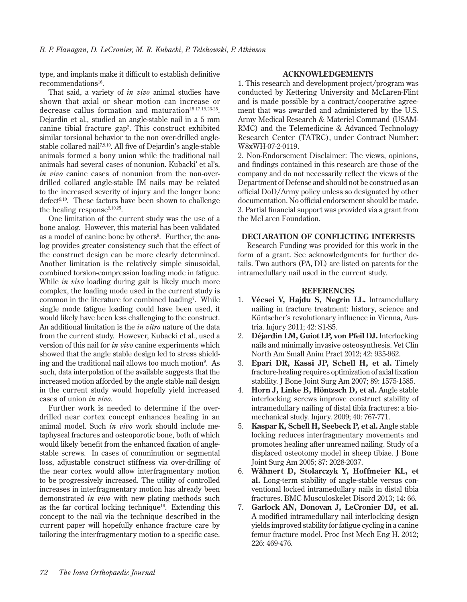type, and implants make it difficult to establish definitive recommendations<sup>16</sup>.

That said, a variety of *in vivo* animal studies have shown that axial or shear motion can increase or decrease callus formation and maturation<sup>15,17,19,23-25</sup>. Dejardin et al., studied an angle-stable nail in a 5 mm canine tibial fracture gap2 . This construct exhibited similar torsional behavior to the non over-drilled anglestable collared nail<sup>7,9,10</sup>. All five of Dejardin's angle-stable animals formed a bony union while the traditional nail animals had several cases of nonunion. Kubacki' et al's, *in vivo* canine cases of nonunion from the non-overdrilled collared angle-stable IM nails may be related to the increased severity of injury and the longer bone defect<sup>9,10</sup>. These factors have been shown to challenge the healing response<sup>9,10,25</sup>.

One limitation of the current study was the use of a bone analog. However, this material has been validated as a model of canine bone by others<sup>8</sup>. Further, the analog provides greater consistency such that the effect of the construct design can be more clearly determined. Another limitation is the relatively simple sinusoidal, combined torsion-compression loading mode in fatigue. While *in vivo* loading during gait is likely much more complex, the loading mode used in the current study is common in the literature for combined loading<sup>7</sup>. While single mode fatigue loading could have been used, it would likely have been less challenging to the construct. An additional limitation is the *in vitro* nature of the data from the current study. However, Kubacki et al., used a version of this nail for *in vivo* canine experiments which showed that the angle stable design led to stress shielding and the traditional nail allows too much motion9 . As such, data interpolation of the available suggests that the increased motion afforded by the angle stable nail design in the current study would hopefully yield increased cases of union *in vivo*.

Further work is needed to determine if the overdrilled near cortex concept enhances healing in an animal model. Such *in vivo* work should include metaphyseal fractures and osteoporotic bone, both of which would likely benefit from the enhanced fixation of anglestable screws. In cases of comminution or segmental loss, adjustable construct stiffness via over-drilling of the near cortex would allow interfragmentary motion to be progressively increased. The utility of controlled increases in interfragmentary motion has already been demonstrated *in vivo* with new plating methods such as the far cortical locking technique<sup>16</sup>. Extending this concept to the nail via the technique described in the current paper will hopefully enhance fracture care by tailoring the interfragmentary motion to a specific case.

# **ACKNOWLEDGEMENTS**

1. This research and development project/program was conducted by Kettering University and McLaren-Flint and is made possible by a contract/cooperative agreement that was awarded and administered by the U.S. Army Medical Research & Materiel Command (USAM-RMC) and the Telemedicine & Advanced Technology Research Center (TATRC), under Contract Number: W8xWH-07-2-0119.

2. Non-Endorsement Disclaimer: The views, opinions, and findings contained in this research are those of the company and do not necessarily reflect the views of the Department of Defense and should not be construed as an official DoD/Army policy unless so designated by other documentation. No official endorsement should be made. 3. Partial financial support was provided via a grant from the McLaren Foundation.

#### **DECLARATION OF CONFLICTING INTERESTS**

Research Funding was provided for this work in the form of a grant. See acknowledgments for further details. Two authors (PA, DL) are listed on patents for the intramedullary nail used in the current study.

# **REFERENCES**

- 1. **Vécsei V, Hajdu S, Negrin LL.** Intramedullary nailing in fracture treatment: history, science and Küntscher's revolutionary influence in Vienna, Austria. Injury 2011; 42: S1-S5.
- 2. **Déjardin LM, Guiot LP, von Pfeil DJ.** Interlocking nails and minimally invasive osteosynthesis. Vet Clin North Am Small Anim Pract 2012; 42: 935-962.
- 3. **Epari DR, Kassi JP, Schell H, et al.** Timely fracture-healing requires optimization of axial fixation stability. J Bone Joint Surg Am 2007; 89: 1575-1585.
- 4. **Horn J, Linke B, Höntzsch D, et al.** Angle stable interlocking screws improve construct stability of intramedullary nailing of distal tibia fractures: a biomechanical study. Injury. 2009; 40: 767-771.
- 5. **Kaspar K, Schell H, Seebeck P, et al.** Angle stable locking reduces interfragmentary movements and promotes healing after unreamed nailing. Study of a displaced osteotomy model in sheep tibiae. J Bone Joint Surg Am 2005; 87: 2028-2037.
- 6. **Wähnert D, Stolarczyk Y, Hoffmeier KL, et al.** Long-term stability of angle-stable versus conventional locked intramedullary nails in distal tibia fractures. BMC Musculoskelet Disord 2013; 14: 66.
- 7. **Garlock AN, Donovan J, LeCronier DJ, et al.** A modified intramedullary nail interlocking design yields improved stability for fatigue cycling in a canine femur fracture model. Proc Inst Mech Eng H. 2012; 226: 469-476.